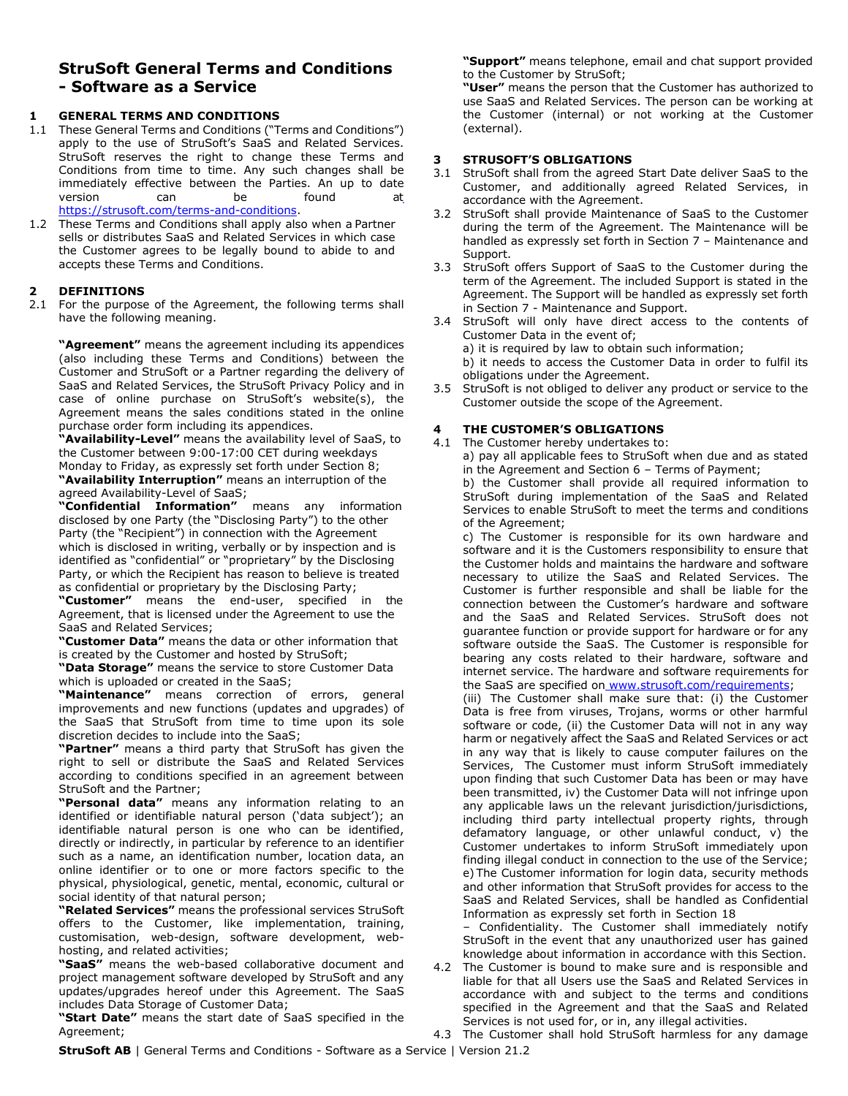# **StruSoft General Terms and Conditions - Software as a Service**

## **1 GENERAL TERMS AND CONDITIONS**

- 1.1 These General Terms and Conditions ("Terms and Conditions") apply to the use of StruSoft's SaaS and Related Services. StruSoft reserves the right to change these Terms and Conditions from time to time. Any such changes shall be immediately effective between the Parties. An up to date version can be found at [https://strusoft.com/terms-and-conditions.](https://strusoft.com/terms-and-conditions)
- 1.2 These Terms and Conditions shall apply also when a Partner sells or distributes SaaS and Related Services in which case the Customer agrees to be legally bound to abide to and accepts these Terms and Conditions.

## **2 DEFINITIONS**

2.1 For the purpose of the Agreement, the following terms shall have the following meaning.

**"Agreement"** means the agreement including its appendices (also including these Terms and Conditions) between the Customer and StruSoft or a Partner regarding the delivery of SaaS and Related Services, the StruSoft Privacy Policy and in case of online purchase on StruSoft's website(s), the Agreement means the sales conditions stated in the online purchase order form including its appendices.

**"Availability-Level"** means the availability level of SaaS, to the Customer between 9:00-17:00 CET during weekdays Monday to Friday, as expressly set forth under Section 8; **"Availability Interruption"** means an interruption of the agreed Availability-Level of SaaS;

**"Confidential Information"** means any information disclosed by one Party (the "Disclosing Party") to the other Party (the "Recipient") in connection with the Agreement which is disclosed in writing, verbally or by inspection and is identified as "confidential" or "proprietary" by the Disclosing Party, or which the Recipient has reason to believe is treated as confidential or proprietary by the Disclosing Party;

**"Customer"** means the end-user, specified in the Agreement, that is licensed under the Agreement to use the SaaS and Related Services;

**"Customer Data"** means the data or other information that is created by the Customer and hosted by StruSoft;

**"Data Storage"** means the service to store Customer Data which is uploaded or created in the SaaS;

**"Maintenance"** means correction of errors, general improvements and new functions (updates and upgrades) of the SaaS that StruSoft from time to time upon its sole discretion decides to include into the SaaS;

**"Partner"** means a third party that StruSoft has given the right to sell or distribute the SaaS and Related Services according to conditions specified in an agreement between StruSoft and the Partner;

**"Personal data"** means any information relating to an identified or identifiable natural person ('data subject'); an identifiable natural person is one who can be identified, directly or indirectly, in particular by reference to an identifier such as a name, an identification number, location data, an online identifier or to one or more factors specific to the physical, physiological, genetic, mental, economic, cultural or social identity of that natural person;

**"Related Services"** means the professional services StruSoft offers to the Customer, like implementation, training, customisation, web-design, software development, webhosting, and related activities;

**"SaaS"** means the web-based collaborative document and project management software developed by StruSoft and any updates/upgrades hereof under this Agreement. The SaaS includes Data Storage of Customer Data;

**"Start Date"** means the start date of SaaS specified in the Agreement;

**"Support"** means telephone, email and chat support provided to the Customer by StruSoft;

**"User"** means the person that the Customer has authorized to use SaaS and Related Services. The person can be working at the Customer (internal) or not working at the Customer (external).

#### **3 STRUSOFT'S OBLIGATIONS**

- 3.1 StruSoft shall from the agreed Start Date deliver SaaS to the Customer, and additionally agreed Related Services, in accordance with the Agreement.
- 3.2 StruSoft shall provide Maintenance of SaaS to the Customer during the term of the Agreement. The Maintenance will be handled as expressly set forth in Section 7 – Maintenance and Support.
- 3.3 StruSoft offers Support of SaaS to the Customer during the term of the Agreement. The included Support is stated in the Agreement. The Support will be handled as expressly set forth in Section 7 - Maintenance and Support.
- 3.4 StruSoft will only have direct access to the contents of Customer Data in the event of;

a) it is required by law to obtain such information; b) it needs to access the Customer Data in order to fulfil its

obligations under the Agreement.

3.5 StruSoft is not obliged to deliver any product or service to the Customer outside the scope of the Agreement.

## **4 THE CUSTOMER'S OBLIGATIONS**

4.1 The Customer hereby undertakes to: a) pay all applicable fees to StruSoft when due and as stated in the Agreement and Section 6 – Terms of Payment;

b) the Customer shall provide all required information to StruSoft during implementation of the SaaS and Related Services to enable StruSoft to meet the terms and conditions of the Agreement;

c) The Customer is responsible for its own hardware and software and it is the Customers responsibility to ensure that the Customer holds and maintains the hardware and software necessary to utilize the SaaS and Related Services. The Customer is further responsible and shall be liable for the connection between the Customer's hardware and software and the SaaS and Related Services. StruSoft does not guarantee function or provide support for hardware or for any software outside the SaaS. The Customer is responsible for bearing any costs related to their hardware, software and internet service. The hardware and software requirements for the SaaS are specified on [www.strusoft.com/requirements;](http://www.strusoft.com/requirements)

(iii) The Customer shall make sure that: (i) the Customer Data is free from viruses, Trojans, worms or other harmful software or code, (ii) the Customer Data will not in any way harm or negatively affect the SaaS and Related Services or act in any way that is likely to cause computer failures on the Services, The Customer must inform StruSoft immediately upon finding that such Customer Data has been or may have been transmitted, iv) the Customer Data will not infringe upon any applicable laws un the relevant jurisdiction/jurisdictions, including third party intellectual property rights, through defamatory language, or other unlawful conduct, v) the Customer undertakes to inform StruSoft immediately upon finding illegal conduct in connection to the use of the Service; e) The Customer information for login data, security methods and other information that StruSoft provides for access to the SaaS and Related Services, shall be handled as Confidential Information as expressly set forth in Section 18

– Confidentiality. The Customer shall immediately notify StruSoft in the event that any unauthorized user has gained knowledge about information in accordance with this Section.

4.2 The Customer is bound to make sure and is responsible and liable for that all Users use the SaaS and Related Services in accordance with and subject to the terms and conditions specified in the Agreement and that the SaaS and Related Services is not used for, or in, any illegal activities.

4.3 The Customer shall hold StruSoft harmless for any damage

**StruSoft AB** | General Terms and Conditions - Software as a Service | Version 21.2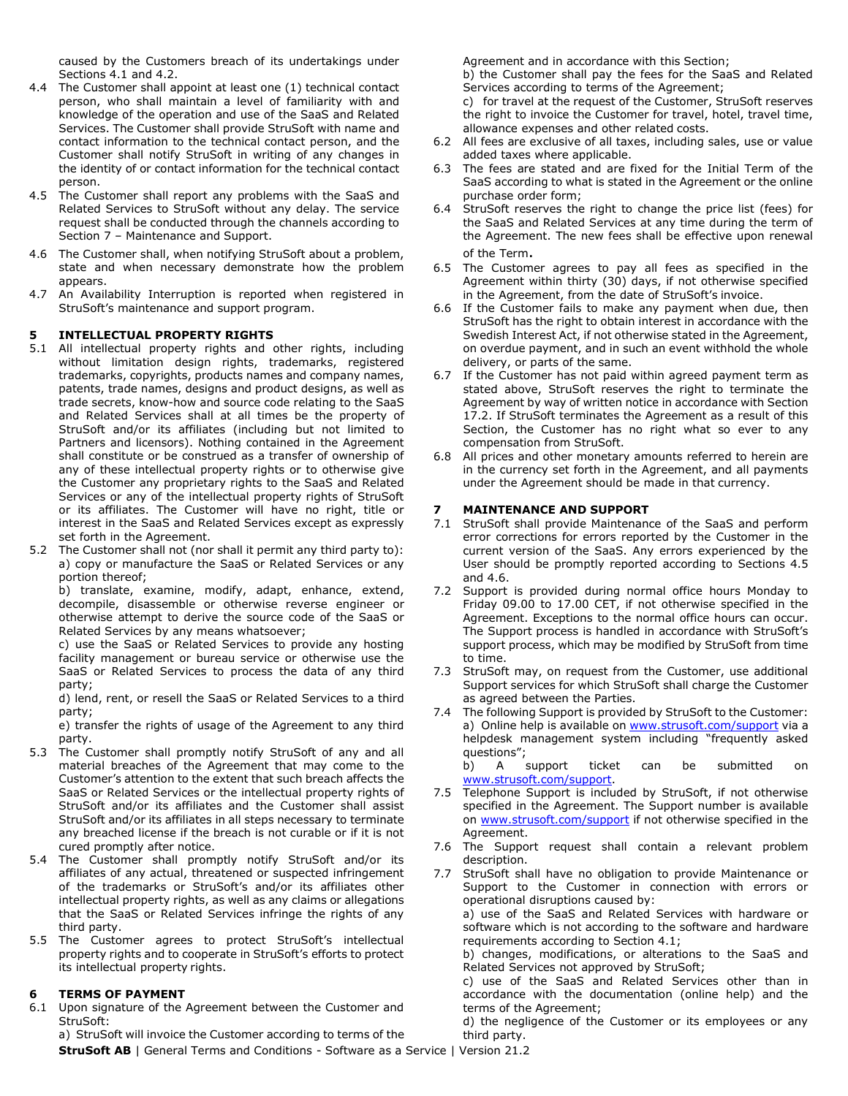caused by the Customers breach of its undertakings under Sections 4.1 and 4.2.

- 4.4 The Customer shall appoint at least one (1) technical contact person, who shall maintain a level of familiarity with and knowledge of the operation and use of the SaaS and Related Services. The Customer shall provide StruSoft with name and contact information to the technical contact person, and the Customer shall notify StruSoft in writing of any changes in the identity of or contact information for the technical contact person.
- 4.5 The Customer shall report any problems with the SaaS and Related Services to StruSoft without any delay. The service request shall be conducted through the channels according to Section 7 – Maintenance and Support.
- 4.6 The Customer shall, when notifying StruSoft about a problem, state and when necessary demonstrate how the problem appears.
- 4.7 An Availability Interruption is reported when registered in StruSoft's maintenance and support program.

#### **5 INTELLECTUAL PROPERTY RIGHTS**

- 5.1 All intellectual property rights and other rights, including without limitation design rights, trademarks, registered trademarks, copyrights, products names and company names, patents, trade names, designs and product designs, as well as trade secrets, know-how and source code relating to the SaaS and Related Services shall at all times be the property of StruSoft and/or its affiliates (including but not limited to Partners and licensors). Nothing contained in the Agreement shall constitute or be construed as a transfer of ownership of any of these intellectual property rights or to otherwise give the Customer any proprietary rights to the SaaS and Related Services or any of the intellectual property rights of StruSoft or its affiliates. The Customer will have no right, title or interest in the SaaS and Related Services except as expressly set forth in the Agreement.
- 5.2 The Customer shall not (nor shall it permit any third party to): a) copy or manufacture the SaaS or Related Services or any portion thereof;

b) translate, examine, modify, adapt, enhance, extend, decompile, disassemble or otherwise reverse engineer or otherwise attempt to derive the source code of the SaaS or Related Services by any means whatsoever;

c) use the SaaS or Related Services to provide any hosting facility management or bureau service or otherwise use the SaaS or Related Services to process the data of any third party;

d) lend, rent, or resell the SaaS or Related Services to a third party;

e) transfer the rights of usage of the Agreement to any third party.

- 5.3 The Customer shall promptly notify StruSoft of any and all material breaches of the Agreement that may come to the Customer's attention to the extent that such breach affects the SaaS or Related Services or the intellectual property rights of StruSoft and/or its affiliates and the Customer shall assist StruSoft and/or its affiliates in all steps necessary to terminate any breached license if the breach is not curable or if it is not cured promptly after notice.
- 5.4 The Customer shall promptly notify StruSoft and/or its affiliates of any actual, threatened or suspected infringement of the trademarks or StruSoft's and/or its affiliates other intellectual property rights, as well as any claims or allegations that the SaaS or Related Services infringe the rights of any third party.
- 5.5 The Customer agrees to protect StruSoft's intellectual property rights and to cooperate in StruSoft's efforts to protect its intellectual property rights.

## **6 TERMS OF PAYMENT**

6.1 Upon signature of the Agreement between the Customer and StruSoft:

Agreement and in accordance with this Section;

b) the Customer shall pay the fees for the SaaS and Related Services according to terms of the Agreement;

c) for travel at the request of the Customer, StruSoft reserves the right to invoice the Customer for travel, hotel, travel time, allowance expenses and other related costs.

- 6.2 All fees are exclusive of all taxes, including sales, use or value added taxes where applicable.
- 6.3 The fees are stated and are fixed for the Initial Term of the SaaS according to what is stated in the Agreement or the online purchase order form;
- 6.4 StruSoft reserves the right to change the price list (fees) for the SaaS and Related Services at any time during the term of the Agreement. The new fees shall be effective upon renewal of the Term.
- 6.5 The Customer agrees to pay all fees as specified in the Agreement within thirty (30) days, if not otherwise specified in the Agreement, from the date of StruSoft's invoice.
- 6.6 If the Customer fails to make any payment when due, then StruSoft has the right to obtain interest in accordance with the Swedish Interest Act, if not otherwise stated in the Agreement, on overdue payment, and in such an event withhold the whole delivery, or parts of the same.
- 6.7 If the Customer has not paid within agreed payment term as stated above, StruSoft reserves the right to terminate the Agreement by way of written notice in accordance with Section 17.2. If StruSoft terminates the Agreement as a result of this Section, the Customer has no right what so ever to any compensation from StruSoft.
- 6.8 All prices and other monetary amounts referred to herein are in the currency set forth in the Agreement, and all payments under the Agreement should be made in that currency.

#### **7 MAINTENANCE AND SUPPORT**

- 7.1 StruSoft shall provide Maintenance of the SaaS and perform error corrections for errors reported by the Customer in the current version of the SaaS. Any errors experienced by the User should be promptly reported according to Sections 4.5 and 4.6.
- 7.2 Support is provided during normal office hours Monday to Friday 09.00 to 17.00 CET, if not otherwise specified in the Agreement. Exceptions to the normal office hours can occur. The Support process is handled in accordance with StruSoft's support process, which may be modified by StruSoft from time to time.
- 7.3 StruSoft may, on request from the Customer, use additional Support services for which StruSoft shall charge the Customer as agreed between the Parties.
- 7.4 The following Support is provided by StruSoft to the Customer: a) Online help is available on [www.strusoft.com/s](http://www.strusoft.com/)upport via a helpdesk management system including "frequently asked questions";

b) A support ticket can be submitted on [www.strusoft.com/support.](http://www.strusoft.com/support)

- 7.5 Telephone Support is included by StruSoft, if not otherwise specified in the Agreement. The Support number is available on [www.strusoft.com/support](http://www.strusoft.com/support) if not otherwise specified in the Agreement.
- 7.6 The Support request shall contain a relevant problem description.
- 7.7 StruSoft shall have no obligation to provide Maintenance or Support to the Customer in connection with errors or operational disruptions caused by:

a) use of the SaaS and Related Services with hardware or software which is not according to the software and hardware requirements according to Section 4.1;

b) changes, modifications, or alterations to the SaaS and Related Services not approved by StruSoft;

c) use of the SaaS and Related Services other than in accordance with the documentation (online help) and the terms of the Agreement;

d) the negligence of the Customer or its employees or any third party.

**StruSoft AB** | General Terms and Conditions - Software as a Service | Version 21.2 a) StruSoft will invoice the Customer according to terms of the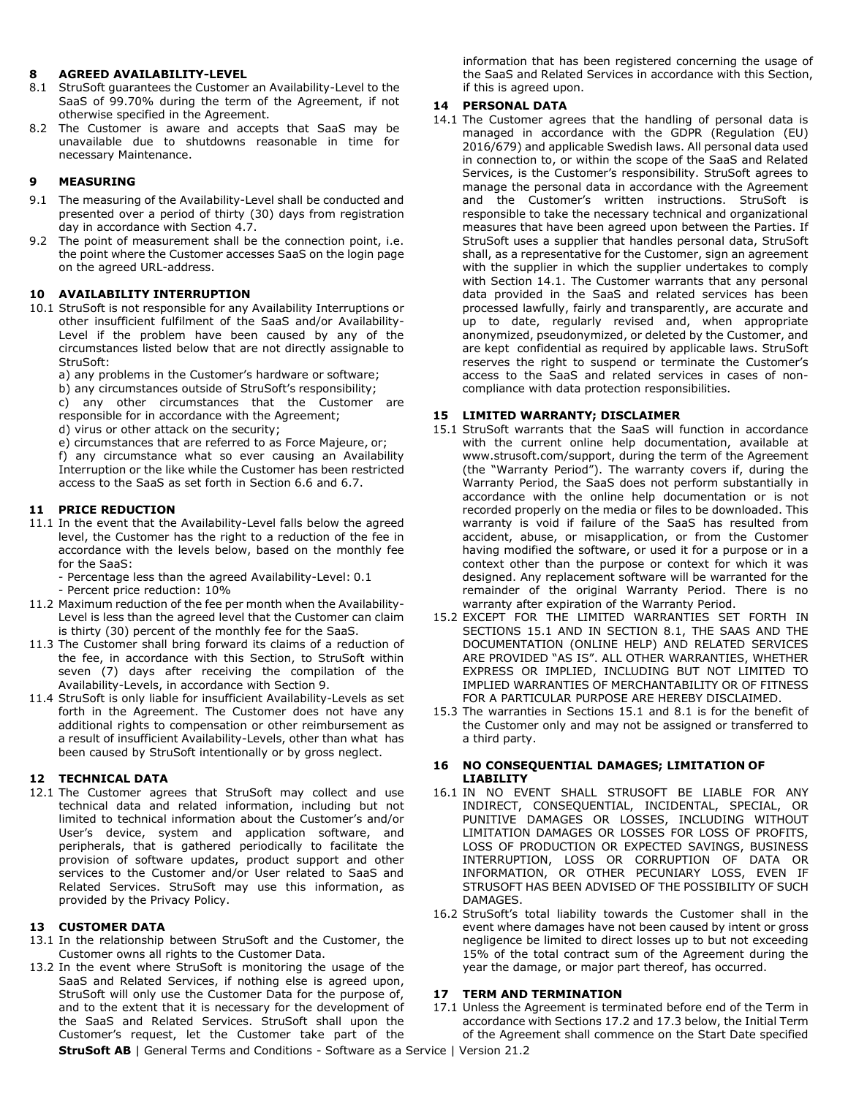#### **8 AGREED AVAILABILITY-LEVEL**

- 8.1 StruSoft guarantees the Customer an Availability-Level to the SaaS of 99.70% during the term of the Agreement, if not otherwise specified in the Agreement.
- 8.2 The Customer is aware and accepts that SaaS may be unavailable due to shutdowns reasonable in time for necessary Maintenance.

#### **9 MEASURING**

- 9.1 The measuring of the Availability-Level shall be conducted and presented over a period of thirty (30) days from registration day in accordance with Section 4.7.
- 9.2 The point of measurement shall be the connection point, i.e. the point where the Customer accesses SaaS on the login page on the agreed URL-address.

#### **10 AVAILABILITY INTERRUPTION**

10.1 StruSoft is not responsible for any Availability Interruptions or other insufficient fulfilment of the SaaS and/or Availability-Level if the problem have been caused by any of the circumstances listed below that are not directly assignable to StruSoft:

a) any problems in the Customer's hardware or software;

b) any circumstances outside of StruSoft's responsibility; c) any other circumstances that the Customer are responsible for in accordance with the Agreement;

d) virus or other attack on the security;

e) circumstances that are referred to as Force Majeure, or;

f) any circumstance what so ever causing an Availability Interruption or the like while the Customer has been restricted access to the SaaS as set forth in Section 6.6 and 6.7.

#### **11 PRICE REDUCTION**

- 11.1 In the event that the Availability-Level falls below the agreed level, the Customer has the right to a reduction of the fee in accordance with the levels below, based on the monthly fee for the SaaS:
	- Percentage less than the agreed Availability-Level: 0.1
	- Percent price reduction: 10%
- 11.2 Maximum reduction of the fee per month when the Availability-Level is less than the agreed level that the Customer can claim is thirty (30) percent of the monthly fee for the SaaS.
- 11.3 The Customer shall bring forward its claims of a reduction of the fee, in accordance with this Section, to StruSoft within seven (7) days after receiving the compilation of the Availability-Levels, in accordance with Section 9.
- 11.4 StruSoft is only liable for insufficient Availability-Levels as set forth in the Agreement. The Customer does not have any additional rights to compensation or other reimbursement as a result of insufficient Availability-Levels, other than what has been caused by StruSoft intentionally or by gross neglect.

## **12 TECHNICAL DATA**

12.1 The Customer agrees that StruSoft may collect and use technical data and related information, including but not limited to technical information about the Customer's and/or User's device, system and application software, and peripherals, that is gathered periodically to facilitate the provision of software updates, product support and other services to the Customer and/or User related to SaaS and Related Services. StruSoft may use this information, as provided by the Privacy Policy.

## **13 CUSTOMER DATA**

- 13.1 In the relationship between StruSoft and the Customer, the Customer owns all rights to the Customer Data.
- 13.2 In the event where StruSoft is monitoring the usage of the SaaS and Related Services, if nothing else is agreed upon, StruSoft will only use the Customer Data for the purpose of, and to the extent that it is necessary for the development of the SaaS and Related Services. StruSoft shall upon the Customer's request, let the Customer take part of the

information that has been registered concerning the usage of the SaaS and Related Services in accordance with this Section, if this is agreed upon.

## **14 PERSONAL DATA**

14.1 The Customer agrees that the handling of personal data is managed in accordance with the GDPR (Regulation (EU) 2016/679) and applicable Swedish laws. All personal data used in connection to, or within the scope of the SaaS and Related Services, is the Customer's responsibility. StruSoft agrees to manage the personal data in accordance with the Agreement and the Customer's written instructions. StruSoft is responsible to take the necessary technical and organizational measures that have been agreed upon between the Parties. If StruSoft uses a supplier that handles personal data, StruSoft shall, as a representative for the Customer, sign an agreement with the supplier in which the supplier undertakes to comply with Section 14.1. The Customer warrants that any personal data provided in the SaaS and related services has been processed lawfully, fairly and transparently, are accurate and up to date, regularly revised and, when appropriate anonymized, pseudonymized, or deleted by the Customer, and are kept confidential as required by applicable laws. StruSoft reserves the right to suspend or terminate the Customer's access to the SaaS and related services in cases of noncompliance with data protection responsibilities.

## **15 LIMITED WARRANTY; DISCLAIMER**

- 15.1 StruSoft warrants that the SaaS will function in accordance with the current online help documentation, available at [www.strusoft.com/support,](http://www.strusoft.com/support) during the term of the Agreement (the "Warranty Period"). The warranty covers if, during the Warranty Period, the SaaS does not perform substantially in accordance with the online help documentation or is not recorded properly on the media or files to be downloaded. This warranty is void if failure of the SaaS has resulted from accident, abuse, or misapplication, or from the Customer having modified the software, or used it for a purpose or in a context other than the purpose or context for which it was designed. Any replacement software will be warranted for the remainder of the original Warranty Period. There is no warranty after expiration of the Warranty Period.
- 15.2 EXCEPT FOR THE LIMITED WARRANTIES SET FORTH IN SECTIONS 15.1 AND IN SECTION 8.1, THE SAAS AND THE DOCUMENTATION (ONLINE HELP) AND RELATED SERVICES ARE PROVIDED "AS IS". ALL OTHER WARRANTIES, WHETHER EXPRESS OR IMPLIED, INCLUDING BUT NOT LIMITED TO IMPLIED WARRANTIES OF MERCHANTABILITY OR OF FITNESS FOR A PARTICULAR PURPOSE ARE HEREBY DISCLAIMED.
- 15.3 The warranties in Sections 15.1 and 8.1 is for the benefit of the Customer only and may not be assigned or transferred to a third party.

## **16 NO CONSEQUENTIAL DAMAGES; LIMITATION OF LIABILITY**

- 16.1 IN NO EVENT SHALL STRUSOFT BE LIABLE FOR ANY INDIRECT, CONSEQUENTIAL, INCIDENTAL, SPECIAL, OR PUNITIVE DAMAGES OR LOSSES, INCLUDING WITHOUT LIMITATION DAMAGES OR LOSSES FOR LOSS OF PROFITS, LOSS OF PRODUCTION OR EXPECTED SAVINGS, BUSINESS INTERRUPTION, LOSS OR CORRUPTION OF DATA OR INFORMATION, OR OTHER PECUNIARY LOSS, EVEN IF STRUSOFT HAS BEEN ADVISED OF THE POSSIBILITY OF SUCH DAMAGES.
- 16.2 StruSoft's total liability towards the Customer shall in the event where damages have not been caused by intent or gross negligence be limited to direct losses up to but not exceeding 15% of the total contract sum of the Agreement during the year the damage, or major part thereof, has occurred.

## **17 TERM AND TERMINATION**

17.1 Unless the Agreement is terminated before end of the Term in accordance with Sections 17.2 and 17.3 below, the Initial Term of the Agreement shall commence on the Start Date specified

**StruSoft AB** | General Terms and Conditions - Software as a Service | Version 21.2